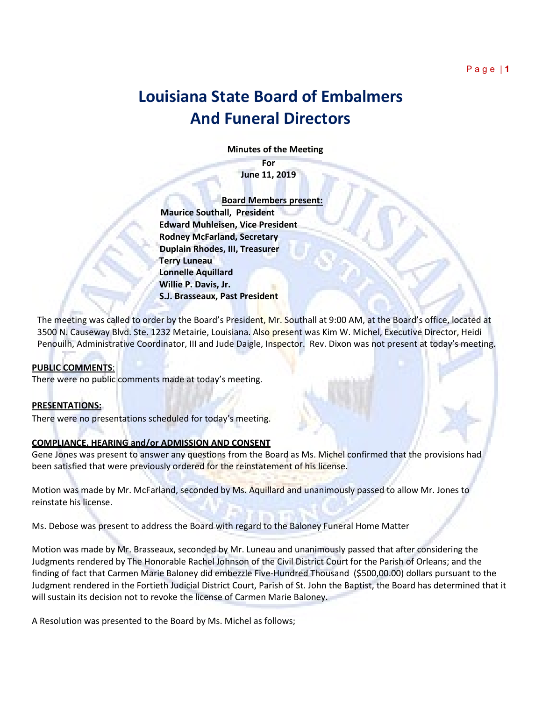# **Louisiana State Board of Embalmers And Funeral Directors**

 **Minutes of the Meeting**

**For June 11, 2019**

 **Board Members present: Maurice Southall, President Edward Muhleisen, Vice President Rodney McFarland, Secretary Duplain Rhodes, III, Treasurer Terry Luneau Lonnelle Aquillard Willie P. Davis, Jr. S.J. Brasseaux, Past President** 

The meeting was called to order by the Board's President, Mr. Southall at 9:00 AM, at the Board's office, located at 3500 N. Causeway Blvd. Ste. 1232 Metairie, Louisiana. Also present was Kim W. Michel, Executive Director, Heidi Penouilh, Administrative Coordinator, III and Jude Daigle, Inspector. Rev. Dixon was not present at today's meeting.

# **PUBLIC COMMENTS**:

There were no public comments made at today's meeting.

# **PRESENTATIONS:**

There were no presentations scheduled for today's meeting.

# **COMPLIANCE, HEARING and/or ADMISSION AND CONSENT**

Gene Jones was present to answer any questions from the Board as Ms. Michel confirmed that the provisions had been satisfied that were previously ordered for the reinstatement of his license.

Motion was made by Mr. McFarland, seconded by Ms. Aquillard and unanimously passed to allow Mr. Jones to reinstate his license.

Ms. Debose was present to address the Board with regard to the Baloney Funeral Home Matter

Motion was made by Mr. Brasseaux, seconded by Mr. Luneau and unanimously passed that after considering the Judgments rendered by The Honorable Rachel Johnson of the Civil District Court for the Parish of Orleans; and the finding of fact that Carmen Marie Baloney did embezzle Five-Hundred Thousand (\$500,00.00) dollars pursuant to the Judgment rendered in the Fortieth Judicial District Court, Parish of St. John the Baptist, the Board has determined that it will sustain its decision not to revoke the license of Carmen Marie Baloney.

A Resolution was presented to the Board by Ms. Michel as follows;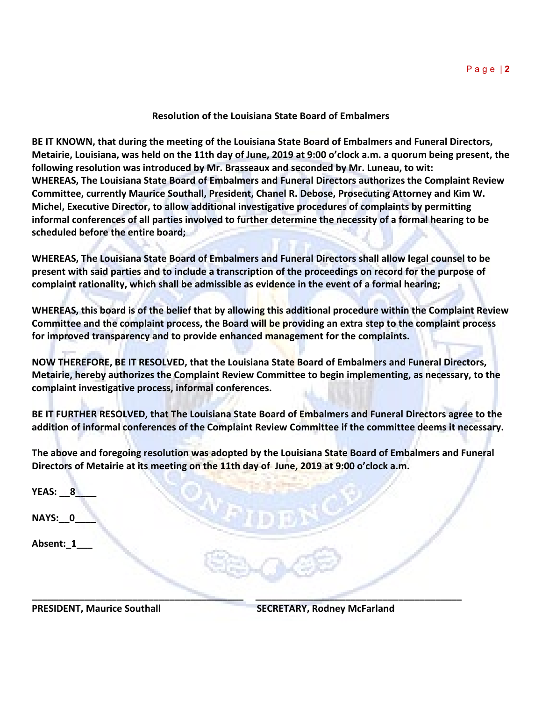# **Resolution of the Louisiana State Board of Embalmers**

**BE IT KNOWN, that during the meeting of the Louisiana State Board of Embalmers and Funeral Directors, Metairie, Louisiana, was held on the 11th day of June, 2019 at 9:00 o'clock a.m. a quorum being present, the following resolution was introduced by Mr. Brasseaux and seconded by Mr. Luneau, to wit: WHEREAS, The Louisiana State Board of Embalmers and Funeral Directors authorizes the Complaint Review Committee, currently Maurice Southall, President, Chanel R. Debose, Prosecuting Attorney and Kim W. Michel, Executive Director, to allow additional investigative procedures of complaints by permitting informal conferences of all parties involved to further determine the necessity of a formal hearing to be scheduled before the entire board;**

**WHEREAS, The Louisiana State Board of Embalmers and Funeral Directors shall allow legal counsel to be present with said parties and to include a transcription of the proceedings on record for the purpose of complaint rationality, which shall be admissible as evidence in the event of a formal hearing;**

**WHEREAS, this board is of the belief that by allowing this additional procedure within the Complaint Review Committee and the complaint process, the Board will be providing an extra step to the complaint process for improved transparency and to provide enhanced management for the complaints.** 

**NOW THEREFORE, BE IT RESOLVED, that the Louisiana State Board of Embalmers and Funeral Directors, Metairie, hereby authorizes the Complaint Review Committee to begin implementing, as necessary, to the complaint investigative process, informal conferences.**

**BE IT FURTHER RESOLVED, that The Louisiana State Board of Embalmers and Funeral Directors agree to the addition of informal conferences of the Complaint Review Committee if the committee deems it necessary.**

**The above and foregoing resolution was adopted by the Louisiana State Board of Embalmers and Funeral Directors of Metairie at its meeting on the 11th day of June, 2019 at 9:00 o'clock a.m.**

| YEAS: $8$    |  |  |
|--------------|--|--|
| NAYS: 0      |  |  |
| Absent:_1___ |  |  |
|              |  |  |

**\_\_\_\_\_\_\_\_\_\_\_\_\_\_\_\_\_\_\_\_\_\_\_\_\_\_\_\_\_\_\_\_\_\_\_\_\_\_\_\_ \_\_\_\_\_\_\_\_\_\_\_\_\_\_\_\_\_\_\_\_\_\_\_\_\_\_\_\_\_\_\_\_\_\_\_\_\_\_\_**

**PRESIDENT, Maurice Southall SECRETARY, Rodney McFarland**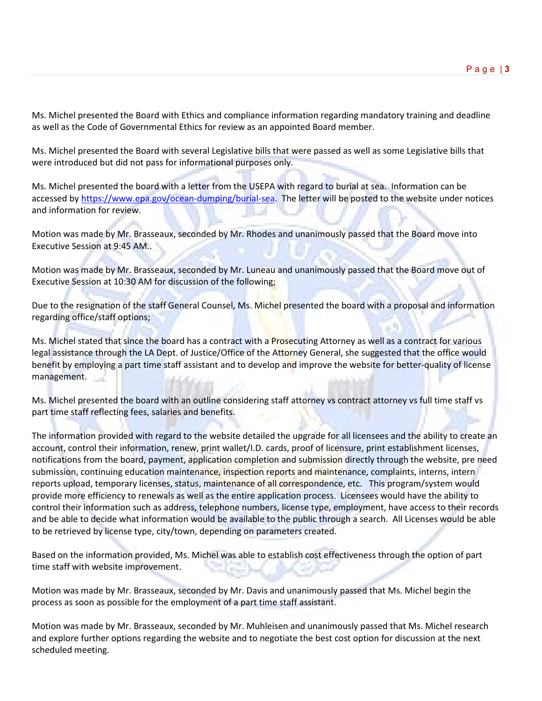Ms. Michel presented the Board with Ethics and compliance information regarding mandatory training and deadline as well as the Code of Governmental Ethics for review as an appointed Board member.

Ms. Michel presented the Board with several Legislative bills that were passed as well as some Legislative bills that were introduced but did not pass for informational purposes only.

Ms. Michel presented the board with a letter from the USEPA with regard to burial at sea. Information can be accessed b[y https://www.epa.gov/ocean-dumping/burial-sea.](https://www.epa.gov/ocean-dumping/burial-sea) The letter will be posted to the website under notices and information for review.

Motion was made by Mr. Brasseaux, seconded by Mr. Rhodes and unanimously passed that the Board move into Executive Session at 9:45 AM..

Motion was made by Mr. Brasseaux, seconded by Mr. Luneau and unanimously passed that the Board move out of Executive Session at 10:30 AM for discussion of the following;

Due to the resignation of the staff General Counsel, Ms. Michel presented the board with a proposal and information regarding office/staff options;

Ms. Michel stated that since the board has a contract with a Prosecuting Attorney as well as a contract for various legal assistance through the LA Dept. of Justice/Office of the Attorney General, she suggested that the office would benefit by employing a part time staff assistant and to develop and improve the website for better-quality of license management.

Ms. Michel presented the board with an outline considering staff attorney vs contract attorney vs full time staff vs part time staff reflecting fees, salaries and benefits.

The information provided with regard to the website detailed the upgrade for all licensees and the ability to create an account, control their information, renew, print wallet/I.D. cards, proof of licensure, print establishment licenses, notifications from the board, payment, application completion and submission directly through the website, pre need submission, continuing education maintenance, inspection reports and maintenance, complaints, interns, intern reports upload, temporary licenses, status, maintenance of all correspondence, etc. This program/system would provide more efficiency to renewals as well as the entire application process. Licensees would have the ability to control their information such as address, telephone numbers, license type, employment, have access to their records and be able to decide what information would be available to the public through a search. All Licenses would be able to be retrieved by license type, city/town, depending on parameters created.

Based on the information provided, Ms. Michel was able to establish cost effectiveness through the option of part time staff with website improvement.

Motion was made by Mr. Brasseaux, seconded by Mr. Davis and unanimously passed that Ms. Michel begin the process as soon as possible for the employment of a part time staff assistant.

Motion was made by Mr. Brasseaux, seconded by Mr. Muhleisen and unanimously passed that Ms. Michel research and explore further options regarding the website and to negotiate the best cost option for discussion at the next scheduled meeting.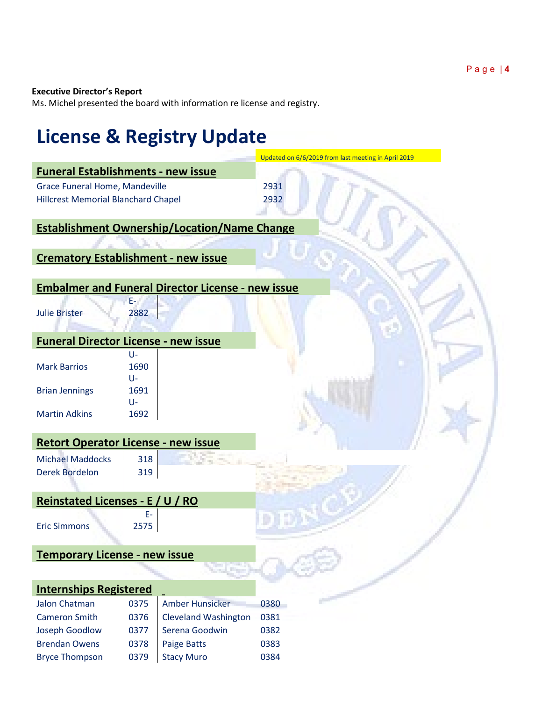### **Executive Director's Report**

Ms. Michel presented the board with information re license and registry.

Bryce Thompson 0379 Stacy Muro 0384

# **License & Registry Update**  Updated on 6/6/2019 from last meeting in April 2019 **Funeral Establishments - new issue** Grace Funeral Home, Mandeville 2931 Hillcrest Memorial Blanchard Chapel 2932 **Establishment Ownership/Location/Name Change Crematory Establishment - new issue Embalmer and Funeral Director License - new issue** Julie Brister E-2882 **Funeral Director License - new issue** Mark Barrios U-1690 Brian Jennings U-1691 Martin Adkins U-1692 **Retort Operator License - new issue** Michael Maddocks 318 Derek Bordelon 319 **Reinstated Licenses - E / U / RO** Eric Simmons E-2575 **Temporary License - new issue Internships Registered** Jalon Chatman 0375 Amber Hunsicker 0380 Cameron Smith 0376 Cleveland Washington 0381 Joseph Goodlow 0377 Serena Goodwin 0382 Brendan Owens 0378 Paige Batts 0383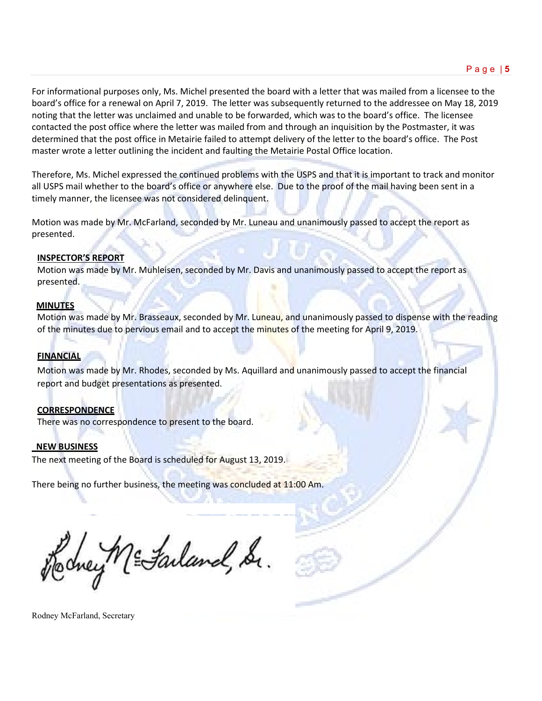For informational purposes only, Ms. Michel presented the board with a letter that was mailed from a licensee to the board's office for a renewal on April 7, 2019. The letter was subsequently returned to the addressee on May 18, 2019 noting that the letter was unclaimed and unable to be forwarded, which was to the board's office. The licensee contacted the post office where the letter was mailed from and through an inquisition by the Postmaster, it was determined that the post office in Metairie failed to attempt delivery of the letter to the board's office. The Post master wrote a letter outlining the incident and faulting the Metairie Postal Office location.

Therefore, Ms. Michel expressed the continued problems with the USPS and that it is important to track and monitor all USPS mail whether to the board's office or anywhere else. Due to the proof of the mail having been sent in a timely manner, the licensee was not considered delinquent.

Motion was made by Mr. McFarland, seconded by Mr. Luneau and unanimously passed to accept the report as presented.

### **INSPECTOR'S REPORT**

Motion was made by Mr. Muhleisen, seconded by Mr. Davis and unanimously passed to accept the report as presented.

#### **MINUTES**

Motion was made by Mr. Brasseaux, seconded by Mr. Luneau, and unanimously passed to dispense with the reading of the minutes due to pervious email and to accept the minutes of the meeting for April 9, 2019.

# **FINANCIAL**

Motion was made by Mr. Rhodes, seconded by Ms. Aquillard and unanimously passed to accept the financial report and budget presentations as presented.

# **CORRESPONDENCE**

There was no correspondence to present to the board.

# **NEW BUSINESS**

The next meeting of the Board is scheduled for August 13, 2019.

There being no further business, the meeting was concluded at 11:00 Am.

Iney ME Failand, Sr.

Rodney McFarland, Secretary